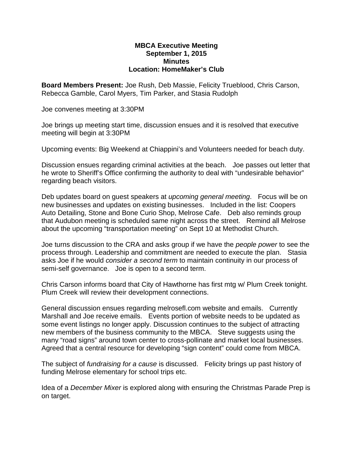## **MBCA Executive Meeting September 1, 2015 Minutes Location: HomeMaker's Club**

**Board Members Present:** Joe Rush, Deb Massie, Felicity Trueblood, Chris Carson, Rebecca Gamble, Carol Myers, Tim Parker, and Stasia Rudolph

Joe convenes meeting at 3:30PM

Joe brings up meeting start time, discussion ensues and it is resolved that executive meeting will begin at 3:30PM

Upcoming events: Big Weekend at Chiappini's and Volunteers needed for beach duty.

Discussion ensues regarding criminal activities at the beach. Joe passes out letter that he wrote to Sheriff's Office confirming the authority to deal with "undesirable behavior" regarding beach visitors.

Deb updates board on guest speakers at *upcoming general meeting*. Focus will be on new businesses and updates on existing businesses. Included in the list: Coopers Auto Detailing, Stone and Bone Curio Shop, Melrose Cafe. Deb also reminds group that Audubon meeting is scheduled same night across the street. Remind all Melrose about the upcoming "transportation meeting" on Sept 10 at Methodist Church.

Joe turns discussion to the CRA and asks group if we have the *people power* to see the process through. Leadership and commitment are needed to execute the plan. Stasia asks Joe if he would *consider a second term* to maintain continuity in our process of semi-self governance. Joe is open to a second term.

Chris Carson informs board that City of Hawthorne has first mtg w/ Plum Creek tonight. Plum Creek will review their development connections.

General discussion ensues regarding melrosefl.com website and emails. Currently Marshall and Joe receive emails. Events portion of website needs to be updated as some event listings no longer apply. Discussion continues to the subject of attracting new members of the business community to the MBCA. Steve suggests using the many "road signs" around town center to cross-pollinate and market local businesses. Agreed that a central resource for developing "sign content" could come from MBCA.

The subject of *fundraising for a cause* is discussed. Felicity brings up past history of funding Melrose elementary for school trips etc.

Idea of a *December Mixer* is explored along with ensuring the Christmas Parade Prep is on target.